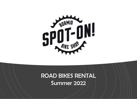

### ROAD BIKES RENTAL Summer 2022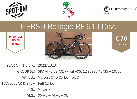





# HERSH Bellagio RF 913 Disc

**PREMIUM LEVEL BIKES**





YEAR OF THE BIKE 2022/2023

GROUP SET SRAM Force AXS/Rival AXS, 12 speed 48/35 – 10/36

WHEELS Vision SC 40 Carbon DISC

HANDLEBAR & STEM Full Carbon

TYRES Vittoria

SIZES  $XS - S - M - L - XL$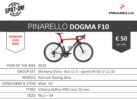



# PINARELLO **DOGMA F10**





**€ 50** per day

YEAR OF THE BIKE 2019

GROUP SET Shimano Dura - Ace 11 S - speed 34-50 // 11-32

WHEELS Fulcrum Racing Zero

HANDLEBAR & STEM Most XA

TYRES Vittoria Zaffiro PRO race 25 mm

SIZES 46,5 – 59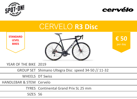



## CERVELO **R3 Disc**

**STANDARD LEVEL BIKES**



**€ 50** per day

YEAR OF THE BIKE 2019

GROUP SET Shimano Ultegra Disc speed 34-50 // 11-32

WHEELS DT Swiss

HANDLEBAR & STEM Cervelo

TYRES Continental Grand Prix SL 25 mm

SIZES 56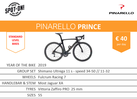



# PINARELLO **PRINCE**

**STANDARD LEVEL BIKES**





YEAR OF THE BIKE 2019

GROUP SET Shimano Ultrega 11 s - speed 34-50 // 11-32

WHEELS Fulcrum Racing 7

HANDLEBAR & STEM Most Jaguar XA

TYRES Vittoria Zaffiro PRO 25 mm

SIZES 55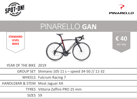



# PINARELLO **GAN**





**€ 40** per day

YEAR OF THE BIKE 2019

GROUP SET Shimano 105 11 s – speed 34-50 // 11-32

WHEELS Fulcrum Racing 7

HANDLEBAR & STEM Most Jaguar XA

TYRES Vittoria Zaffiro PRO 25 mm

SIZES 59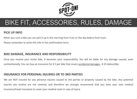

## BIKE FIT, ACCESSORIES, RULES, DAMAGE

### **PICK UP INFO**

When you rent a bike you can pick it up in the morning from 9 am or the day before from 6 pm.

Please remember to write this info in the confirmation form.

#### **BIKE DAMAGE, INSURANCE AND RESPONSIBILITY**

Once you receive your rental bike, it becomes your responsibility. You will be liable for any damage caused, even unintentionally. You can buy an insurance for  $\epsilon$  5 per bike that covers accidental damages -  $\epsilon$  25 deductible.

#### **INSURANCE FOR PERSONAL INJURIES OR TO 3RD PARTIES**

We are NOT insured for any personal injuries caused to 3rd parties or property caused by the bike. Any potential injuries you receive are not covered, and therefore we strongly recommend that you have your own medical insurance/travel insurance to cover your medical costs in case of injury.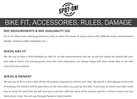

## BIKE FIT, ACCESSORIES, RULES, DAMAGE

### **BIKE MEASUREMENTS & BIKE AVAILABILITY SIZE**

All of our bikes have sloping geometry to help us meet the needs of many cyclists with different body measurements (height, distance saddle-handlebar, etc.).

#### **RENTAL BIKE FIT**

We ask you to have a little flexibility on bike fit, as bike measurements and set up will not always be exactly like your own bike at home. Our cycling guests, even the most meticulous, are always happy with their rental bike, as we take time to fit you properly.

#### **RENTAL & PAYMENT**

We ask you to fill in a form with all the information required to confirm your bike. We ask for a 30% deposit at the time of booking, the balance will be paid direct at the shop when you pick-up the bike. If you have to cancel your bike rental due to Covid-19 restriction we will send you a voucher with the value of the amount paid for a future rental or to buy items at our shop. You can pay through Paypal or bank transfer.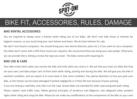

## BIKE FIT, ACCESSORIES, RULES, DAMAGE

### **BIKE RENTAL ACCESSORIES**

You are required to always wear a helmet while riding one of our bikes. We don't rent bike shoes or helmets for hygienic reasons, so you must bring your own helmet and shoes. We do have helmets for sale.

We don't rent bicycle computers. You should bring your own device (Garmin, polar etc.), if you want to use a computer. Our bikes don't come with a GPS front mount (on request). We recommend that you bring your own pedals. Otherwise, we can provide them, letting us know the type you need. The bikes comes with repairing kit.

#### **BIKE USE & CARE**

Your bike rental starts when you receive the bike and ends when you return it. We ask that you treat our bikes like they are your own, and take proper care of them both while riding, parking and storing the bike. We will give you the bike in excellent condition, and we expect it to come back in that same condition. Pay special attention to how you park your bike, as the frames can be easily damaged if parked negligently or if they fall over because of poor parking. If you are renting a road bike, only ride it on the road. Gravel bikes are intended for both road and gravel path riding. Please respect road traffic rules, follow general principles of prudence and diligence, and safeguard other people's rights while riding and using the bike. Please do not make any modifications to the components of the bike on your own